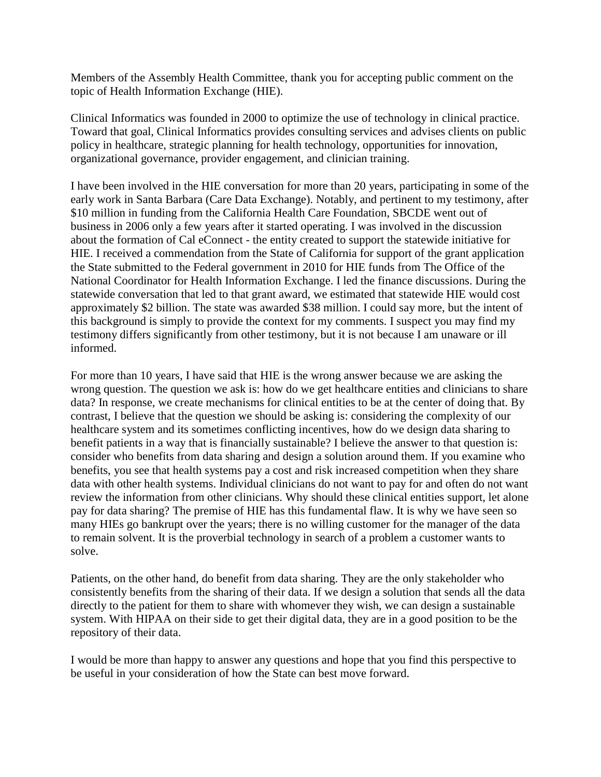Members of the Assembly Health Committee, thank you for accepting public comment on the topic of Health Information Exchange (HIE).

Clinical Informatics was founded in 2000 to optimize the use of technology in clinical practice. Toward that goal, Clinical Informatics provides consulting services and advises clients on public policy in healthcare, strategic planning for health technology, opportunities for innovation, organizational governance, provider engagement, and clinician training.

I have been involved in the HIE conversation for more than 20 years, participating in some of the early work in Santa Barbara (Care Data Exchange). Notably, and pertinent to my testimony, after \$10 million in funding from the California Health Care Foundation, SBCDE went out of business in 2006 only a few years after it started operating. I was involved in the discussion about the formation of Cal eConnect - the entity created to support the statewide initiative for HIE. I received a commendation from the State of California for support of the grant application the State submitted to the Federal government in 2010 for HIE funds from The Office of the National Coordinator for Health Information Exchange. I led the finance discussions. During the statewide conversation that led to that grant award, we estimated that statewide HIE would cost approximately \$2 billion. The state was awarded \$38 million. I could say more, but the intent of this background is simply to provide the context for my comments. I suspect you may find my testimony differs significantly from other testimony, but it is not because I am unaware or ill informed.

For more than 10 years, I have said that HIE is the wrong answer because we are asking the wrong question. The question we ask is: how do we get healthcare entities and clinicians to share data? In response, we create mechanisms for clinical entities to be at the center of doing that. By contrast, I believe that the question we should be asking is: considering the complexity of our healthcare system and its sometimes conflicting incentives, how do we design data sharing to benefit patients in a way that is financially sustainable? I believe the answer to that question is: consider who benefits from data sharing and design a solution around them. If you examine who benefits, you see that health systems pay a cost and risk increased competition when they share data with other health systems. Individual clinicians do not want to pay for and often do not want review the information from other clinicians. Why should these clinical entities support, let alone pay for data sharing? The premise of HIE has this fundamental flaw. It is why we have seen so many HIEs go bankrupt over the years; there is no willing customer for the manager of the data to remain solvent. It is the proverbial technology in search of a problem a customer wants to solve.

Patients, on the other hand, do benefit from data sharing. They are the only stakeholder who consistently benefits from the sharing of their data. If we design a solution that sends all the data directly to the patient for them to share with whomever they wish, we can design a sustainable system. With HIPAA on their side to get their digital data, they are in a good position to be the repository of their data.

I would be more than happy to answer any questions and hope that you find this perspective to be useful in your consideration of how the State can best move forward.